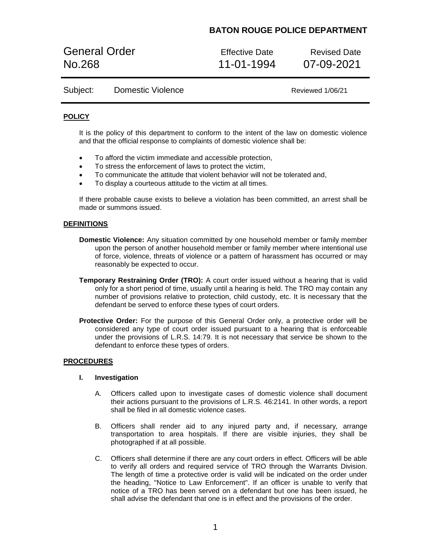# **BATON ROUGE POLICE DEPARTMENT**

General Order **Effective Date** Revised Date No.268 11-01-1994 07-09-2021

## Subject: Domestic Violence Communication Reviewed 1/06/21

### **POLICY**

It is the policy of this department to conform to the intent of the law on domestic violence and that the official response to complaints of domestic violence shall be:

- To afford the victim immediate and accessible protection,
- To stress the enforcement of laws to protect the victim,
- To communicate the attitude that violent behavior will not be tolerated and,
- To display a courteous attitude to the victim at all times.

If there probable cause exists to believe a violation has been committed, an arrest shall be made or summons issued.

#### **DEFINITIONS**

- **Domestic Violence:** Any situation committed by one household member or family member upon the person of another household member or family member where intentional use of force, violence, threats of violence or a pattern of harassment has occurred or may reasonably be expected to occur.
- **Temporary Restraining Order (TRO):** A court order issued without a hearing that is valid only for a short period of time, usually until a hearing is held. The TRO may contain any number of provisions relative to protection, child custody, etc. It is necessary that the defendant be served to enforce these types of court orders.
- **Protective Order:** For the purpose of this General Order only, a protective order will be considered any type of court order issued pursuant to a hearing that is enforceable under the provisions of L.R.S. 14:79. It is not necessary that service be shown to the defendant to enforce these types of orders.

### **PROCEDURES**

#### **I. Investigation**

- A. Officers called upon to investigate cases of domestic violence shall document their actions pursuant to the provisions of L.R.S. 46:2141. In other words, a report shall be filed in all domestic violence cases.
- B. Officers shall render aid to any injured party and, if necessary, arrange transportation to area hospitals. If there are visible injuries, they shall be photographed if at all possible.
- C. Officers shall determine if there are any court orders in effect. Officers will be able to verify all orders and required service of TRO through the Warrants Division. The length of time a protective order is valid will be indicated on the order under the heading, "Notice to Law Enforcement". If an officer is unable to verify that notice of a TRO has been served on a defendant but one has been issued, he shall advise the defendant that one is in effect and the provisions of the order.